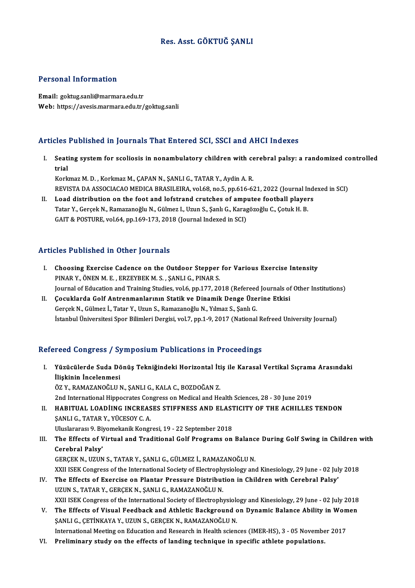## Res. Asst. GÖKTUĞ ŞANLI

#### Personal Information

Email: goktug.sanli@marmara.edu.tr Web: https://avesis.marmara.edu.tr/goktug.sanli

### Articles Published in Journals That Entered SCI, SSCI and AHCI Indexes

rticles Published in Journals That Entered SCI, SSCI and AHCI Indexes<br>I. Seating system for scoliosis in nonambulatory children with cerebral palsy: a randomized controlled<br>trial nee<br>Seati<br>trial trial<br>Korkmaz M. D. , Korkmaz M., ÇAPAN N., ŞANLI G., TATAR Y., Aydin A. R.

trial<br>Korkmaz M. D. , Korkmaz M., ÇAPAN N., ŞANLI G., TATAR Y., Aydin A. R.<br>REVISTA DA ASSOCIACAO MEDICA BRASILEIRA, vol.68, no.5, pp.616-621, 2022 (Journal Indexed in SCI)<br>Load distribution on the foat and lafstrand aruts Korkmaz M. D., Korkmaz M., ÇAPAN N., ŞANLI G., TATAR Y., Aydin A. R.<br>REVISTA DA ASSOCIACAO MEDICA BRASILEIRA, vol.68, no.5, pp.616-621, 2022 (Journal Inde<br>II. Load distribution on the foot and lofstrand crutches of amputee

REVISTA DA ASSOCIACAO MEDICA BRASILEIRA, vol.68, no.5, pp.616-621, 2022 (Journal Ir<br>Load distribution on the foot and lofstrand crutches of amputee football player<br>Tatar Y., Gerçek N., Ramazanoğlu N., Gülmez I., Uzun S., Ş II. Load distribution on the foot and lofstrand crutches of amputee football players<br>Tatar Y., Gerçek N., Ramazanoğlu N., Gülmez I., Uzun S., Şanlı G., Karagözoğlu C., Çotuk H. B.<br>GAIT & POSTURE, vol.64, pp.169-173, 2018 (

#### Articles Published in Other Journals

- **Tricles Published in Other Journals<br>I. Choosing Exercise Cadence on the Outdoor Stepper for Various Exercise Intensity** PINARY.<br>Choosing Exercise Cadence on the Outdoor Stepper<br>PINAR Y., ÖNEN M. E., ERZEYBEK M. S., ŞANLI G., PINAR S.<br>Journal of Education and Training Studies vol.6, np.177–20 PINAR Y., ÖNEN M. E. , ERZEYBEK M. S. , ŞANLI G., PINAR S.<br>Journal of Education and Training Studies, vol.6, pp.177, 2018 (Refereed Journals of Other Institutions)
- II. Çocuklarda Golf Antrenmanlarının Statik ve Dinamik Denge Üzerine Etkisi GerçekN.,Gülmez İ.,Tatar Y.,UzunS.,RamazanoğluN.,Yılmaz S.,ŞanlıG. İstanbul Üniversitesi Spor Bilimleri Dergisi, vol.7, pp.1-9, 2017 (National Refreed University Journal)

## Refereed Congress / Symposium Publications in Proceedings

- efereed Congress / Symposium Publications in Proceedings<br>I. Yüzücülerde Suda Dönüş Tekniğindeki Horizontal İtiş ile Karasal Vertikal Sıçrama Arasındaki<br>İlişkinin İngelenmesi 1994 dəngi 9887 ya<br>Yüzücülerde Suda Dö<br>İlişkinin İncelenmesi<br>ÖZ V. PAMAZANOĞLUA Yüzücülerde Suda Dönüş Tekniğindeki Horizontal İti<br>İlişkinin İncelenmesi<br>ÖZ Y., RAMAZANOĞLUN., ŞANLI G., KALA C., BOZDOĞAN Z.<br>2nd International Hinnesrates Consress on Medisel and He İlişkinin İncelenmesi<br>ÖZ Y., RAMAZANOĞLU N., ŞANLI G., KALA C., BOZDOĞAN Z.<br>2nd International Hippocrates Congress on Medical and Health Sciences, 28 - 30 June 2019 ÖZ Y., RAMAZANOĞLU N., ŞANLI G., KALA C., BOZDOĞAN Z.<br>2nd International Hippocrates Congress on Medical and Health Sciences, 28 - 30 June 2019<br>II. HABITUAL LOADİING INCREASES STIFFNESS AND ELASTICITY OF THE ACHILLES TENDON
- ŞANLI G., TATAR Y., YÜCESOY C. A.<br>Uluslararası 9. Biyomekanik Kongresi, 19 22 September 2018 HABITUAL LOADIING INCREASES STIFFNESS AND ELAST<br>ŞANLI G., TATAR Y., YÜCESOY C. A.<br>Uluslararası 9. Biyomekanik Kongresi, 19 - 22 September 2018<br>The Effects of Virtual and Traditional Calf Brograms on
- SANLI G., TATAR Y., YÜCESOY C. A.<br>Uluslararası 9. Biyomekanik Kongresi, 19 22 September 2018<br>III. The Effects of Virtual and Traditional Golf Programs on Balance During Golf Swing in Children with<br>Carebral Palsy' Uluslararası 9. Biy<br>The Effects of V<br>Cerebral Palsy'<br>CERCEV N. UZUN Cerebral Palsy'<br>GERÇEK N., UZUN S., TATAR Y., ŞANLI G., GÜLMEZ İ., RAMAZANOĞLU N. Cerebral Palsy'<br>GERÇEK N., UZUN S., TATAR Y., ŞANLI G., GÜLMEZ İ., RAMAZANOĞLU N.<br>XXII ISEK Congress of the International Society of Electrophysiology and Kinesiology, 29 June - 02 July 2018<br>The Effects of Exergise on Plan

- GERÇEK N., UZUN S., TATAR Y., ŞANLI G., GÜLMEZ İ., RAMAZANOĞLU N.<br>XXII ISEK Congress of the International Society of Electrophysiology and Kinesiology, 29 June 02 Jul<br>IV. The Effects of Exercise on Plantar Pressure Distr XXII ISEK Congress of the International Society of Electrophy<br>The Effects of Exercise on Plantar Pressure Distribut<br>UZUN S., TATAR Y., GERÇEK N., ŞANLI G., RAMAZANOĞLU N.<br>YYU ISEK CORTESS of the International Society of El The Effects of Exercise on Plantar Pressure Distribution in Children with Cerebral Palsy'<br>UZUN S., TATAR Y., GERÇEK N., ŞANLI G., RAMAZANOĞLU N.<br>XXII ISEK Congress of the International Society of Electrophysiology and Kine UZUN S., TATAR Y., GERÇEK N., ŞANLI G., RAMAZANOĞLU N.<br>XXII ISEK Congress of the International Society of Electrophysiology and Kinesiology, 29 June - 02 July 2018<br>V. The Effects of Visual Feedback and Athletic Background
- XXII ISEK Congress of the International Society of Electrophysiolo<br>The Effects of Visual Feedback and Athletic Background c<br>SANLI G., ÇETİNKAYA Y., UZUN S., GERÇEK N., RAMAZANOĞLU N.<br>International Meeting on Education and V. The Effects of Visual Feedback and Athletic Background on Dynamic Balance Ability in Women<br>SANLI G., CETİNKAYA Y., UZUN S., GERCEK N., RAMAZANOĞLU N.<br>International Meeting on Education and Research in Health sciences (I
- VI. Preliminary study on the effects of landing technique in specific athlete populations.